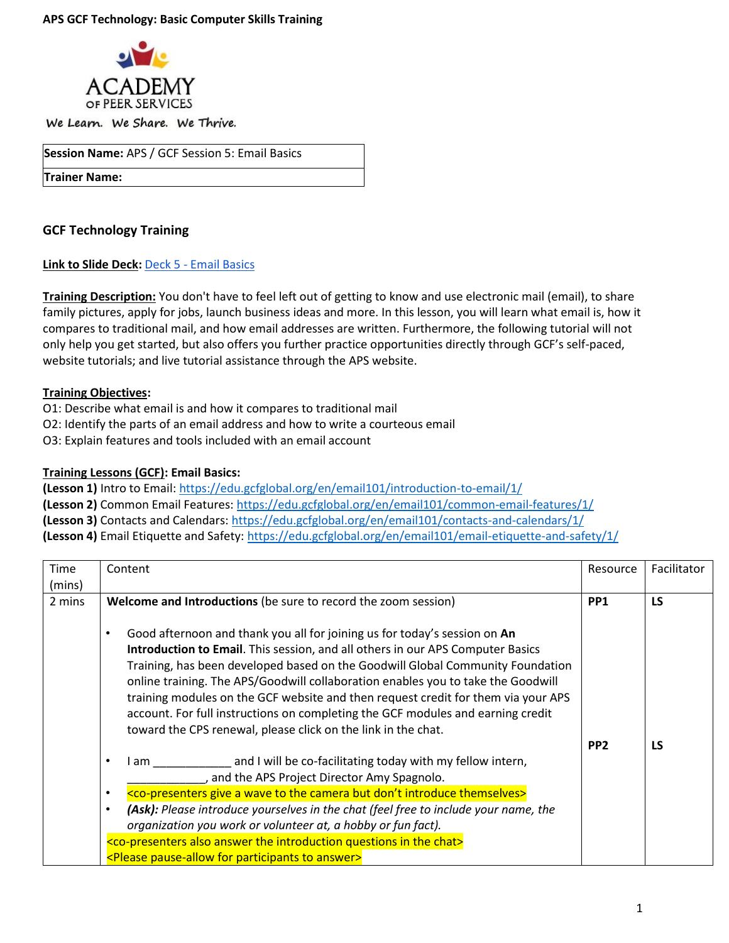

We Learn. We Share. We Thrive.

**Session Name:** APS / GCF Session 5: Email Basics

**Trainer Name:** 

# **GCF Technology Training**

**Link to Slide Deck:** Deck 5 - [Email Basics](https://docs.google.com/presentation/d/1p3j4WpgS9G7zfcl-jMRbvGLaEQMBY7Ea/edit?usp=sharing&ouid=118182945340796067494&rtpof=true&sd=true)

**Training Description:** You don't have to feel left out of getting to know and use electronic mail (email), to share family pictures, apply for jobs, launch business ideas and more. In this lesson, you will learn what email is, how it compares to traditional mail, and how email addresses are written. Furthermore, the following tutorial will not only help you get started, but also offers you further practice opportunities directly through GCF's self-paced, website tutorials; and live tutorial assistance through the APS website.

# **Training Objectives:**

- O1: Describe what email is and how it compares to traditional mail
- O2: Identify the parts of an email address and how to write a courteous email
- O3: Explain features and tools included with an email account

### **Training Lessons (GCF): Email Basics:**

**(Lesson 1)** Intro to Email: <https://edu.gcfglobal.org/en/email101/introduction-to-email/1/> **(Lesson 2)** Common Email Features[: https://edu.gcfglobal.org/en/email101/common-email-features/1/](https://edu.gcfglobal.org/en/email101/common-email-features/1/) **(Lesson 3)** Contacts and Calendars[: https://edu.gcfglobal.org/en/email101/contacts-and-calendars/1/](https://edu.gcfglobal.org/en/email101/contacts-and-calendars/1/) **(Lesson 4)** Email Etiquette and Safety[: https://edu.gcfglobal.org/en/email101/email-etiquette-and-safety/1/](https://edu.gcfglobal.org/en/email101/email-etiquette-and-safety/1/) 

| Time             | Content                                                                                                                                                                                                                                                                                                                                                                                                                                                                                                                                                                                 | Resource        | Facilitator |
|------------------|-----------------------------------------------------------------------------------------------------------------------------------------------------------------------------------------------------------------------------------------------------------------------------------------------------------------------------------------------------------------------------------------------------------------------------------------------------------------------------------------------------------------------------------------------------------------------------------------|-----------------|-------------|
| (mins)<br>2 mins | Welcome and Introductions (be sure to record the zoom session)                                                                                                                                                                                                                                                                                                                                                                                                                                                                                                                          | PP <sub>1</sub> | <b>LS</b>   |
|                  | Good afternoon and thank you all for joining us for today's session on An<br>$\bullet$<br>Introduction to Email. This session, and all others in our APS Computer Basics<br>Training, has been developed based on the Goodwill Global Community Foundation<br>online training. The APS/Goodwill collaboration enables you to take the Goodwill<br>training modules on the GCF website and then request credit for them via your APS<br>account. For full instructions on completing the GCF modules and earning credit<br>toward the CPS renewal, please click on the link in the chat. | PP <sub>2</sub> | LS          |
|                  | I am and I will be co-facilitating today with my fellow intern,<br>$\bullet$<br>, and the APS Project Director Amy Spagnolo.                                                                                                                                                                                                                                                                                                                                                                                                                                                            |                 |             |
|                  | <co-presenters a="" but="" camera="" don't="" give="" introduce="" the="" themselves="" to="" wave=""><br/><math display="inline">\bullet</math></co-presenters>                                                                                                                                                                                                                                                                                                                                                                                                                        |                 |             |
|                  | (Ask): Please introduce yourselves in the chat (feel free to include your name, the<br>$\bullet$                                                                                                                                                                                                                                                                                                                                                                                                                                                                                        |                 |             |
|                  | organization you work or volunteer at, a hobby or fun fact).                                                                                                                                                                                                                                                                                                                                                                                                                                                                                                                            |                 |             |
|                  | <co-presenters also="" answer="" chat="" in="" introduction="" questions="" the=""></co-presenters>                                                                                                                                                                                                                                                                                                                                                                                                                                                                                     |                 |             |
|                  | <please answer="" for="" participants="" pause-allow="" to=""></please>                                                                                                                                                                                                                                                                                                                                                                                                                                                                                                                 |                 |             |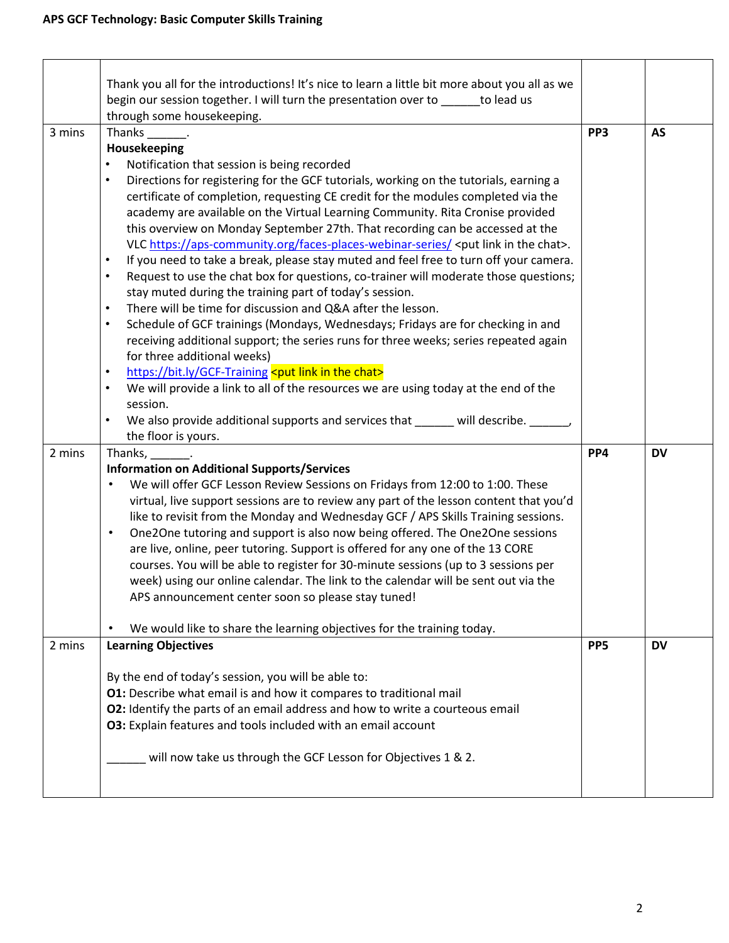|        | Thank you all for the introductions! It's nice to learn a little bit more about you all as we                                                                                                                                                                                                                                                                                                                                                                                                                                                                                                                                                                                                                                                                                                                                                                                                                                                                                                                                                                                                                                                                                                                                                                                                                                                                                                                                                                                                            |                 |           |
|--------|----------------------------------------------------------------------------------------------------------------------------------------------------------------------------------------------------------------------------------------------------------------------------------------------------------------------------------------------------------------------------------------------------------------------------------------------------------------------------------------------------------------------------------------------------------------------------------------------------------------------------------------------------------------------------------------------------------------------------------------------------------------------------------------------------------------------------------------------------------------------------------------------------------------------------------------------------------------------------------------------------------------------------------------------------------------------------------------------------------------------------------------------------------------------------------------------------------------------------------------------------------------------------------------------------------------------------------------------------------------------------------------------------------------------------------------------------------------------------------------------------------|-----------------|-----------|
|        | begin our session together. I will turn the presentation over to _____ to lead us                                                                                                                                                                                                                                                                                                                                                                                                                                                                                                                                                                                                                                                                                                                                                                                                                                                                                                                                                                                                                                                                                                                                                                                                                                                                                                                                                                                                                        |                 |           |
|        | through some housekeeping.                                                                                                                                                                                                                                                                                                                                                                                                                                                                                                                                                                                                                                                                                                                                                                                                                                                                                                                                                                                                                                                                                                                                                                                                                                                                                                                                                                                                                                                                               |                 |           |
| 3 mins | Thanks .                                                                                                                                                                                                                                                                                                                                                                                                                                                                                                                                                                                                                                                                                                                                                                                                                                                                                                                                                                                                                                                                                                                                                                                                                                                                                                                                                                                                                                                                                                 | PP3             | <b>AS</b> |
|        | Housekeeping                                                                                                                                                                                                                                                                                                                                                                                                                                                                                                                                                                                                                                                                                                                                                                                                                                                                                                                                                                                                                                                                                                                                                                                                                                                                                                                                                                                                                                                                                             |                 |           |
|        | Notification that session is being recorded<br>$\bullet$<br>Directions for registering for the GCF tutorials, working on the tutorials, earning a<br>$\bullet$<br>certificate of completion, requesting CE credit for the modules completed via the<br>academy are available on the Virtual Learning Community. Rita Cronise provided<br>this overview on Monday September 27th. That recording can be accessed at the<br>VLC https://aps-community.org/faces-places-webinar-series/ <put chat="" in="" link="" the="">.<br/>If you need to take a break, please stay muted and feel free to turn off your camera.<br/><math display="inline">\bullet</math><br/>Request to use the chat box for questions, co-trainer will moderate those questions;<br/><math display="inline">\bullet</math><br/>stay muted during the training part of today's session.<br/>There will be time for discussion and Q&amp;A after the lesson.<br/><math display="inline">\bullet</math><br/>Schedule of GCF trainings (Mondays, Wednesdays; Fridays are for checking in and<br/><math display="inline">\bullet</math><br/>receiving additional support; the series runs for three weeks; series repeated again<br/>for three additional weeks)<br/>https://bit.ly/GCF-Training <put chat="" in="" link="" the=""><br/><math display="inline">\bullet</math><br/>We will provide a link to all of the resources we are using today at the end of the<br/><math display="inline">\bullet</math><br/>session.</put></put> |                 |           |
|        | We also provide additional supports and services that will describe.<br>$\bullet$<br>the floor is yours.                                                                                                                                                                                                                                                                                                                                                                                                                                                                                                                                                                                                                                                                                                                                                                                                                                                                                                                                                                                                                                                                                                                                                                                                                                                                                                                                                                                                 |                 |           |
| 2 mins | Thanks, 1988.                                                                                                                                                                                                                                                                                                                                                                                                                                                                                                                                                                                                                                                                                                                                                                                                                                                                                                                                                                                                                                                                                                                                                                                                                                                                                                                                                                                                                                                                                            | PP4             | <b>DV</b> |
|        | <b>Information on Additional Supports/Services</b><br>We will offer GCF Lesson Review Sessions on Fridays from 12:00 to 1:00. These<br>virtual, live support sessions are to review any part of the lesson content that you'd                                                                                                                                                                                                                                                                                                                                                                                                                                                                                                                                                                                                                                                                                                                                                                                                                                                                                                                                                                                                                                                                                                                                                                                                                                                                            |                 |           |
|        | like to revisit from the Monday and Wednesday GCF / APS Skills Training sessions.<br>One2One tutoring and support is also now being offered. The One2One sessions<br>$\bullet$<br>are live, online, peer tutoring. Support is offered for any one of the 13 CORE<br>courses. You will be able to register for 30-minute sessions (up to 3 sessions per<br>week) using our online calendar. The link to the calendar will be sent out via the<br>APS announcement center soon so please stay tuned!                                                                                                                                                                                                                                                                                                                                                                                                                                                                                                                                                                                                                                                                                                                                                                                                                                                                                                                                                                                                       |                 |           |
|        | We would like to share the learning objectives for the training today.                                                                                                                                                                                                                                                                                                                                                                                                                                                                                                                                                                                                                                                                                                                                                                                                                                                                                                                                                                                                                                                                                                                                                                                                                                                                                                                                                                                                                                   |                 |           |
| 2 mins | <b>Learning Objectives</b>                                                                                                                                                                                                                                                                                                                                                                                                                                                                                                                                                                                                                                                                                                                                                                                                                                                                                                                                                                                                                                                                                                                                                                                                                                                                                                                                                                                                                                                                               | PP <sub>5</sub> | <b>DV</b> |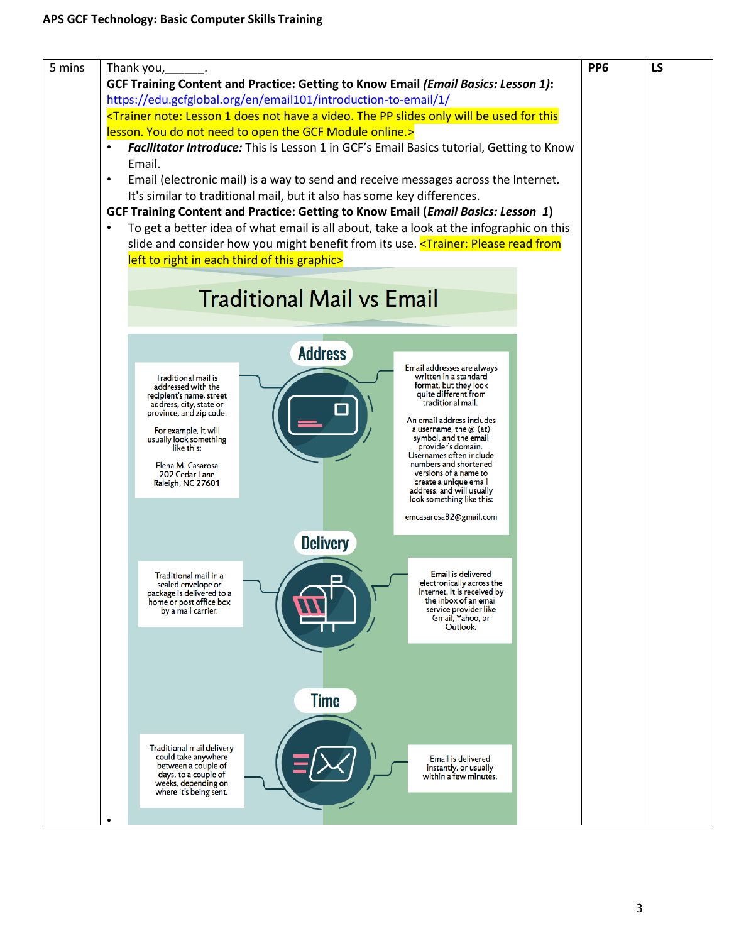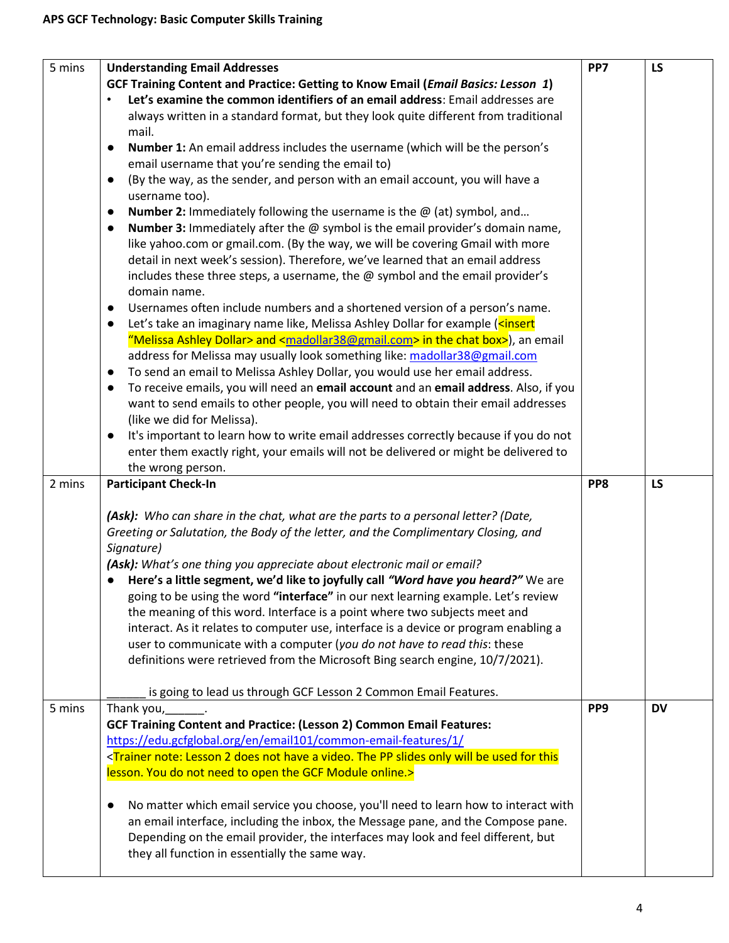| 5 mins | <b>Understanding Email Addresses</b>                                                                                                                                           | PP7             | <b>LS</b> |
|--------|--------------------------------------------------------------------------------------------------------------------------------------------------------------------------------|-----------------|-----------|
|        | GCF Training Content and Practice: Getting to Know Email (Email Basics: Lesson 1)                                                                                              |                 |           |
|        | Let's examine the common identifiers of an email address: Email addresses are                                                                                                  |                 |           |
|        | always written in a standard format, but they look quite different from traditional                                                                                            |                 |           |
|        | mail.                                                                                                                                                                          |                 |           |
|        | Number 1: An email address includes the username (which will be the person's<br>$\bullet$                                                                                      |                 |           |
|        | email username that you're sending the email to)                                                                                                                               |                 |           |
|        | (By the way, as the sender, and person with an email account, you will have a<br>$\bullet$                                                                                     |                 |           |
|        | username too).                                                                                                                                                                 |                 |           |
|        | <b>Number 2:</b> Immediately following the username is the $\omega$ (at) symbol, and<br>$\bullet$                                                                              |                 |           |
|        | <b>Number 3:</b> Immediately after the $@$ symbol is the email provider's domain name,<br>$\bullet$                                                                            |                 |           |
|        | like yahoo.com or gmail.com. (By the way, we will be covering Gmail with more                                                                                                  |                 |           |
|        | detail in next week's session). Therefore, we've learned that an email address                                                                                                 |                 |           |
|        | includes these three steps, a username, the @ symbol and the email provider's                                                                                                  |                 |           |
|        | domain name.                                                                                                                                                                   |                 |           |
|        | Usernames often include numbers and a shortened version of a person's name.<br>$\bullet$                                                                                       |                 |           |
|        | Let's take an imaginary name like, Melissa Ashley Dollar for example ( <insert<br><math display="inline">\bullet</math></insert<br>                                            |                 |           |
|        | "Melissa Ashley Dollar> and <madollar38@gmail.com> in the chat box&gt;), an email</madollar38@gmail.com>                                                                       |                 |           |
|        | address for Melissa may usually look something like: madollar38@gmail.com                                                                                                      |                 |           |
|        | To send an email to Melissa Ashley Dollar, you would use her email address.<br>$\bullet$                                                                                       |                 |           |
|        | To receive emails, you will need an email account and an email address. Also, if you<br>$\bullet$                                                                              |                 |           |
|        | want to send emails to other people, you will need to obtain their email addresses                                                                                             |                 |           |
|        | (like we did for Melissa).                                                                                                                                                     |                 |           |
|        | It's important to learn how to write email addresses correctly because if you do not<br>$\bullet$                                                                              |                 |           |
|        | enter them exactly right, your emails will not be delivered or might be delivered to                                                                                           |                 |           |
|        |                                                                                                                                                                                |                 |           |
|        |                                                                                                                                                                                |                 |           |
| 2 mins | the wrong person.<br><b>Participant Check-In</b>                                                                                                                               | PP8             | <b>LS</b> |
|        |                                                                                                                                                                                |                 |           |
|        | (Ask): Who can share in the chat, what are the parts to a personal letter? (Date,                                                                                              |                 |           |
|        | Greeting or Salutation, the Body of the letter, and the Complimentary Closing, and                                                                                             |                 |           |
|        | Signature)                                                                                                                                                                     |                 |           |
|        | (Ask): What's one thing you appreciate about electronic mail or email?                                                                                                         |                 |           |
|        | Here's a little segment, we'd like to joyfully call "Word have you heard?" We are                                                                                              |                 |           |
|        | going to be using the word "interface" in our next learning example. Let's review                                                                                              |                 |           |
|        | the meaning of this word. Interface is a point where two subjects meet and                                                                                                     |                 |           |
|        | interact. As it relates to computer use, interface is a device or program enabling a                                                                                           |                 |           |
|        | user to communicate with a computer (you do not have to read this: these                                                                                                       |                 |           |
|        | definitions were retrieved from the Microsoft Bing search engine, 10/7/2021).                                                                                                  |                 |           |
|        |                                                                                                                                                                                |                 |           |
|        | is going to lead us through GCF Lesson 2 Common Email Features.                                                                                                                |                 |           |
| 5 mins | Thank you, 1997.                                                                                                                                                               | PP <sub>9</sub> | <b>DV</b> |
|        | <b>GCF Training Content and Practice: (Lesson 2) Common Email Features:</b>                                                                                                    |                 |           |
|        | https://edu.gcfglobal.org/en/email101/common-email-features/1/                                                                                                                 |                 |           |
|        | <trainer 2="" a="" be="" does="" for="" have="" lesson="" not="" note:="" only="" pp="" slides="" td="" the="" this<="" used="" video.="" will=""><td></td><td></td></trainer> |                 |           |
|        | lesson. You do not need to open the GCF Module online.>                                                                                                                        |                 |           |
|        |                                                                                                                                                                                |                 |           |
|        | No matter which email service you choose, you'll need to learn how to interact with<br>$\bullet$                                                                               |                 |           |
|        | an email interface, including the inbox, the Message pane, and the Compose pane.                                                                                               |                 |           |
|        | Depending on the email provider, the interfaces may look and feel different, but<br>they all function in essentially the same way.                                             |                 |           |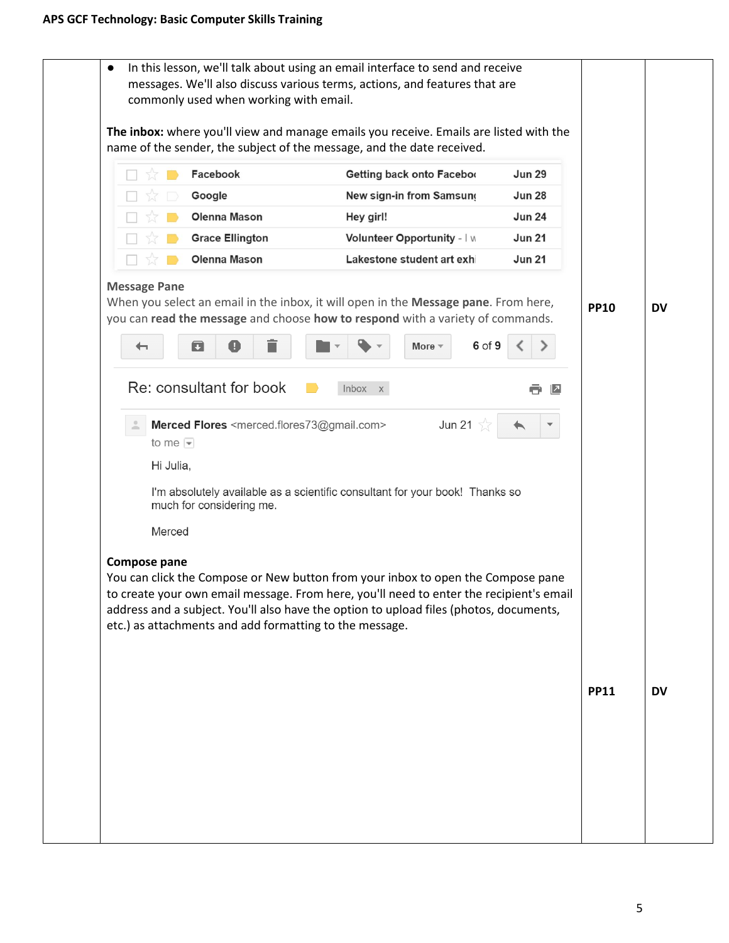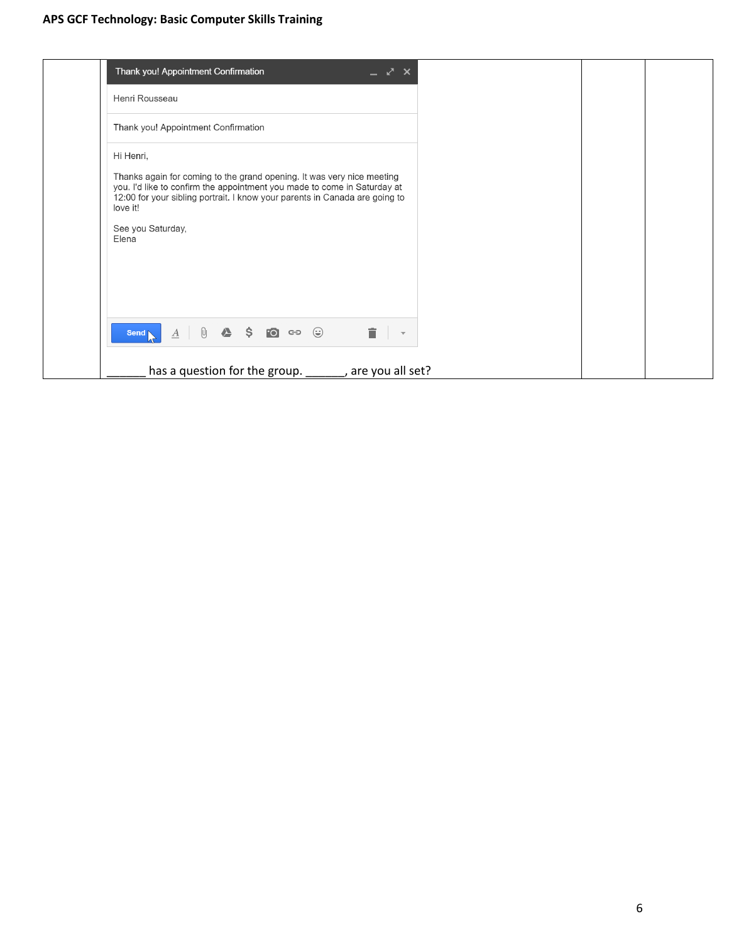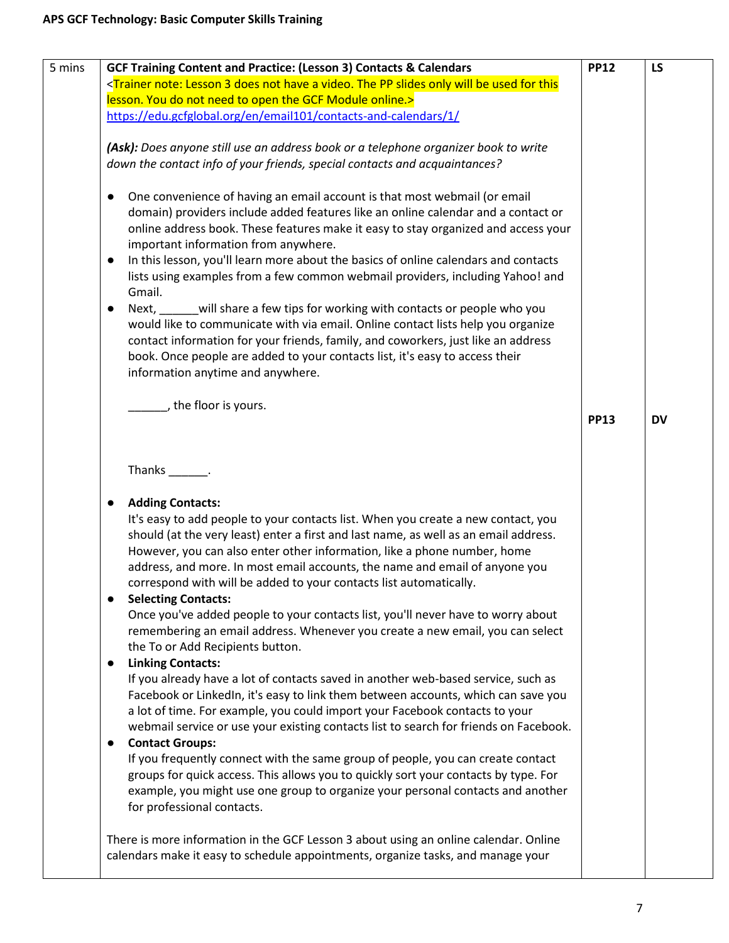| 5 mins | <b>GCF Training Content and Practice: (Lesson 3) Contacts &amp; Calendars</b>                                                                                                                                                                                                                                                                                                                                                                                                                                                                                                                                                                                                                                                                                                                                                                                                                   | <b>PP12</b> | LS        |
|--------|-------------------------------------------------------------------------------------------------------------------------------------------------------------------------------------------------------------------------------------------------------------------------------------------------------------------------------------------------------------------------------------------------------------------------------------------------------------------------------------------------------------------------------------------------------------------------------------------------------------------------------------------------------------------------------------------------------------------------------------------------------------------------------------------------------------------------------------------------------------------------------------------------|-------------|-----------|
|        | <trainer 3="" a="" be="" does="" for="" have="" lesson="" not="" note:="" only="" pp="" slides="" td="" the="" this<="" used="" video.="" will=""><td></td><td></td></trainer>                                                                                                                                                                                                                                                                                                                                                                                                                                                                                                                                                                                                                                                                                                                  |             |           |
|        | lesson. You do not need to open the GCF Module online.>                                                                                                                                                                                                                                                                                                                                                                                                                                                                                                                                                                                                                                                                                                                                                                                                                                         |             |           |
|        | https://edu.gcfglobal.org/en/email101/contacts-and-calendars/1/                                                                                                                                                                                                                                                                                                                                                                                                                                                                                                                                                                                                                                                                                                                                                                                                                                 |             |           |
|        | (Ask): Does anyone still use an address book or a telephone organizer book to write<br>down the contact info of your friends, special contacts and acquaintances?                                                                                                                                                                                                                                                                                                                                                                                                                                                                                                                                                                                                                                                                                                                               |             |           |
|        | One convenience of having an email account is that most webmail (or email<br>$\bullet$<br>domain) providers include added features like an online calendar and a contact or<br>online address book. These features make it easy to stay organized and access your<br>important information from anywhere.<br>In this lesson, you'll learn more about the basics of online calendars and contacts<br>$\bullet$<br>lists using examples from a few common webmail providers, including Yahoo! and<br>Gmail.<br>Next, will share a few tips for working with contacts or people who you<br>$\bullet$<br>would like to communicate with via email. Online contact lists help you organize<br>contact information for your friends, family, and coworkers, just like an address<br>book. Once people are added to your contacts list, it's easy to access their<br>information anytime and anywhere. |             |           |
|        | the floor is yours.                                                                                                                                                                                                                                                                                                                                                                                                                                                                                                                                                                                                                                                                                                                                                                                                                                                                             | <b>PP13</b> | <b>DV</b> |
|        | Thanks ________.                                                                                                                                                                                                                                                                                                                                                                                                                                                                                                                                                                                                                                                                                                                                                                                                                                                                                |             |           |
|        | <b>Adding Contacts:</b><br>It's easy to add people to your contacts list. When you create a new contact, you<br>should (at the very least) enter a first and last name, as well as an email address.<br>However, you can also enter other information, like a phone number, home<br>address, and more. In most email accounts, the name and email of anyone you<br>correspond with will be added to your contacts list automatically.<br><b>Selecting Contacts:</b>                                                                                                                                                                                                                                                                                                                                                                                                                             |             |           |
|        | Once you've added people to your contacts list, you'll never have to worry about<br>remembering an email address. Whenever you create a new email, you can select<br>the To or Add Recipients button.                                                                                                                                                                                                                                                                                                                                                                                                                                                                                                                                                                                                                                                                                           |             |           |
|        | <b>Linking Contacts:</b><br>$\bullet$<br>If you already have a lot of contacts saved in another web-based service, such as<br>Facebook or Linkedln, it's easy to link them between accounts, which can save you<br>a lot of time. For example, you could import your Facebook contacts to your<br>webmail service or use your existing contacts list to search for friends on Facebook.<br><b>Contact Groups:</b><br>$\bullet$                                                                                                                                                                                                                                                                                                                                                                                                                                                                  |             |           |
|        | If you frequently connect with the same group of people, you can create contact<br>groups for quick access. This allows you to quickly sort your contacts by type. For<br>example, you might use one group to organize your personal contacts and another<br>for professional contacts.                                                                                                                                                                                                                                                                                                                                                                                                                                                                                                                                                                                                         |             |           |
|        | There is more information in the GCF Lesson 3 about using an online calendar. Online<br>calendars make it easy to schedule appointments, organize tasks, and manage your                                                                                                                                                                                                                                                                                                                                                                                                                                                                                                                                                                                                                                                                                                                        |             |           |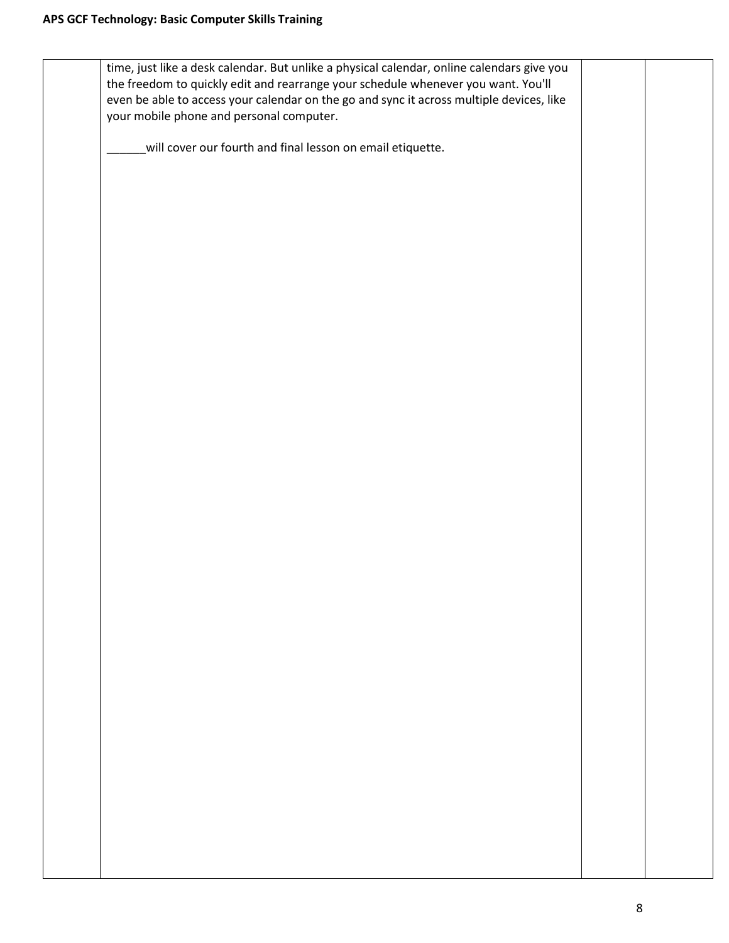| time, just like a desk calendar. But unlike a physical calendar, online calendars give you |  |
|--------------------------------------------------------------------------------------------|--|
|                                                                                            |  |
| the freedom to quickly edit and rearrange your schedule whenever you want. You'll          |  |
| even be able to access your calendar on the go and sync it across multiple devices, like   |  |
|                                                                                            |  |
| your mobile phone and personal computer.                                                   |  |
|                                                                                            |  |
| will cover our fourth and final lesson on email etiquette.                                 |  |
|                                                                                            |  |
|                                                                                            |  |
|                                                                                            |  |
|                                                                                            |  |
|                                                                                            |  |
|                                                                                            |  |
|                                                                                            |  |
|                                                                                            |  |
|                                                                                            |  |
|                                                                                            |  |
|                                                                                            |  |
|                                                                                            |  |
|                                                                                            |  |
|                                                                                            |  |
|                                                                                            |  |
|                                                                                            |  |
|                                                                                            |  |
|                                                                                            |  |
|                                                                                            |  |
|                                                                                            |  |
|                                                                                            |  |
|                                                                                            |  |
|                                                                                            |  |
|                                                                                            |  |
|                                                                                            |  |
|                                                                                            |  |
|                                                                                            |  |
|                                                                                            |  |
|                                                                                            |  |
|                                                                                            |  |
|                                                                                            |  |
|                                                                                            |  |
|                                                                                            |  |
|                                                                                            |  |
|                                                                                            |  |
|                                                                                            |  |
|                                                                                            |  |
|                                                                                            |  |
|                                                                                            |  |
|                                                                                            |  |
|                                                                                            |  |
|                                                                                            |  |
|                                                                                            |  |
|                                                                                            |  |
|                                                                                            |  |
|                                                                                            |  |
|                                                                                            |  |
|                                                                                            |  |
|                                                                                            |  |
|                                                                                            |  |
|                                                                                            |  |
|                                                                                            |  |
|                                                                                            |  |
|                                                                                            |  |
|                                                                                            |  |
|                                                                                            |  |
|                                                                                            |  |
|                                                                                            |  |
|                                                                                            |  |
|                                                                                            |  |
|                                                                                            |  |
|                                                                                            |  |
|                                                                                            |  |
|                                                                                            |  |
|                                                                                            |  |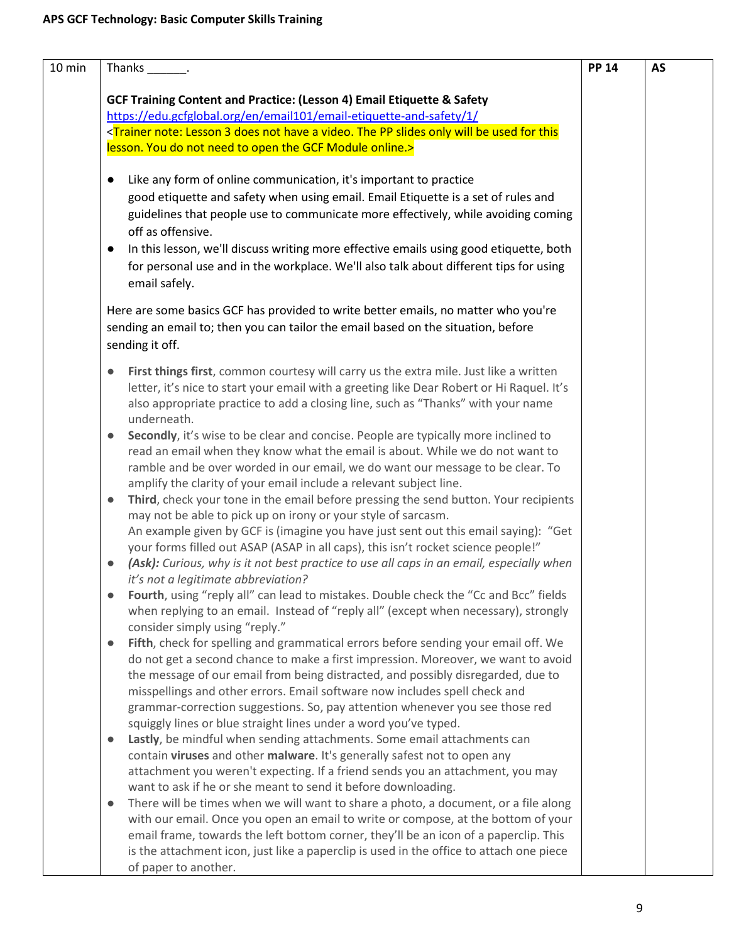|           | Thanks .                                                                                                                                                                      | <b>PP 14</b> |
|-----------|-------------------------------------------------------------------------------------------------------------------------------------------------------------------------------|--------------|
|           | GCF Training Content and Practice: (Lesson 4) Email Etiquette & Safety                                                                                                        |              |
|           | https://edu.gcfglobal.org/en/email101/email-etiquette-and-safety/1/                                                                                                           |              |
|           | <trainer 3="" a="" be="" does="" for="" have="" lesson="" not="" note:="" only="" pp="" slides="" th="" the="" this<="" used="" video.="" will=""><th></th></trainer>         |              |
|           | lesson. You do not need to open the GCF Module online.>                                                                                                                       |              |
|           |                                                                                                                                                                               |              |
| $\bullet$ | Like any form of online communication, it's important to practice                                                                                                             |              |
|           | good etiquette and safety when using email. Email Etiquette is a set of rules and                                                                                             |              |
|           | guidelines that people use to communicate more effectively, while avoiding coming                                                                                             |              |
|           | off as offensive.                                                                                                                                                             |              |
| $\bullet$ | In this lesson, we'll discuss writing more effective emails using good etiquette, both                                                                                        |              |
|           | for personal use and in the workplace. We'll also talk about different tips for using                                                                                         |              |
|           | email safely.                                                                                                                                                                 |              |
|           |                                                                                                                                                                               |              |
|           | Here are some basics GCF has provided to write better emails, no matter who you're                                                                                            |              |
|           | sending an email to; then you can tailor the email based on the situation, before                                                                                             |              |
|           | sending it off.                                                                                                                                                               |              |
|           |                                                                                                                                                                               |              |
| $\bullet$ | First things first, common courtesy will carry us the extra mile. Just like a written                                                                                         |              |
|           | letter, it's nice to start your email with a greeting like Dear Robert or Hi Raquel. It's<br>also appropriate practice to add a closing line, such as "Thanks" with your name |              |
|           | underneath.                                                                                                                                                                   |              |
| $\bullet$ | Secondly, it's wise to be clear and concise. People are typically more inclined to                                                                                            |              |
|           | read an email when they know what the email is about. While we do not want to                                                                                                 |              |
|           | ramble and be over worded in our email, we do want our message to be clear. To                                                                                                |              |
|           | amplify the clarity of your email include a relevant subject line.                                                                                                            |              |
| $\bullet$ | Third, check your tone in the email before pressing the send button. Your recipients                                                                                          |              |
|           | may not be able to pick up on irony or your style of sarcasm.                                                                                                                 |              |
|           | An example given by GCF is (imagine you have just sent out this email saying): "Get                                                                                           |              |
|           | your forms filled out ASAP (ASAP in all caps), this isn't rocket science people!"                                                                                             |              |
|           | (Ask): Curious, why is it not best practice to use all caps in an email, especially when                                                                                      |              |
|           | it's not a legitimate abbreviation?                                                                                                                                           |              |
|           | Fourth, using "reply all" can lead to mistakes. Double check the "Cc and Bcc" fields                                                                                          |              |
|           | when replying to an email. Instead of "reply all" (except when necessary), strongly                                                                                           |              |
|           | consider simply using "reply."                                                                                                                                                |              |
| $\bullet$ | Fifth, check for spelling and grammatical errors before sending your email off. We                                                                                            |              |
|           | do not get a second chance to make a first impression. Moreover, we want to avoid                                                                                             |              |
|           | the message of our email from being distracted, and possibly disregarded, due to                                                                                              |              |
|           | misspellings and other errors. Email software now includes spell check and                                                                                                    |              |
|           | grammar-correction suggestions. So, pay attention whenever you see those red                                                                                                  |              |
|           | squiggly lines or blue straight lines under a word you've typed.                                                                                                              |              |
| $\bullet$ | Lastly, be mindful when sending attachments. Some email attachments can                                                                                                       |              |
|           | contain viruses and other malware. It's generally safest not to open any                                                                                                      |              |
|           | attachment you weren't expecting. If a friend sends you an attachment, you may<br>want to ask if he or she meant to send it before downloading.                               |              |
| $\bullet$ | There will be times when we will want to share a photo, a document, or a file along                                                                                           |              |
|           | with our email. Once you open an email to write or compose, at the bottom of your                                                                                             |              |
|           | email frame, towards the left bottom corner, they'll be an icon of a paperclip. This                                                                                          |              |
|           | is the attachment icon, just like a paperclip is used in the office to attach one piece                                                                                       |              |
|           | of paper to another.                                                                                                                                                          |              |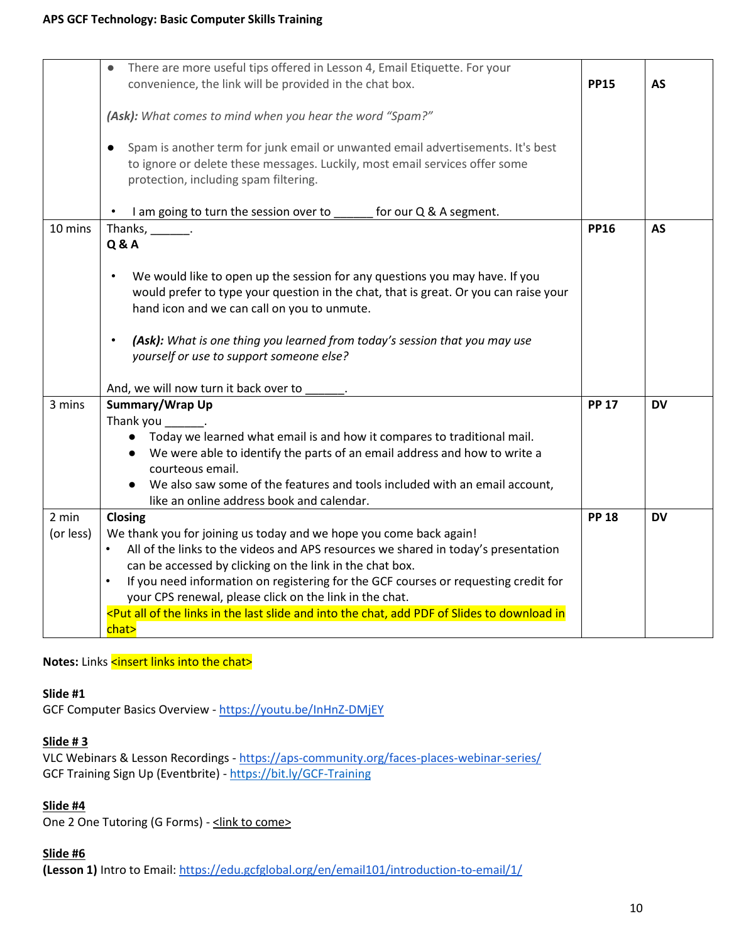|           | There are more useful tips offered in Lesson 4, Email Etiquette. For your<br>convenience, the link will be provided in the chat box.                                                                                            | <b>PP15</b>  | <b>AS</b> |
|-----------|---------------------------------------------------------------------------------------------------------------------------------------------------------------------------------------------------------------------------------|--------------|-----------|
|           | (Ask): What comes to mind when you hear the word "Spam?"                                                                                                                                                                        |              |           |
|           | Spam is another term for junk email or unwanted email advertisements. It's best<br>$\bullet$<br>to ignore or delete these messages. Luckily, most email services offer some<br>protection, including spam filtering.            |              |           |
|           | I am going to turn the session over to _<br>for our Q & A segment.                                                                                                                                                              |              |           |
| 10 mins   | Thanks, $\_\_\_\_\_\_\_\_\$ .<br><b>Q&amp;A</b>                                                                                                                                                                                 | <b>PP16</b>  | <b>AS</b> |
|           | We would like to open up the session for any questions you may have. If you<br>$\bullet$<br>would prefer to type your question in the chat, that is great. Or you can raise your<br>hand icon and we can call on you to unmute. |              |           |
|           | (Ask): What is one thing you learned from today's session that you may use<br>$\bullet$<br>yourself or use to support someone else?                                                                                             |              |           |
|           | And, we will now turn it back over to                                                                                                                                                                                           |              |           |
| 3 mins    | Summary/Wrap Up                                                                                                                                                                                                                 | <b>PP 17</b> | <b>DV</b> |
|           | Thank you _______.                                                                                                                                                                                                              |              |           |
|           | Today we learned what email is and how it compares to traditional mail.<br>We were able to identify the parts of an email address and how to write a<br>courteous email.                                                        |              |           |
|           | We also saw some of the features and tools included with an email account,<br>like an online address book and calendar.                                                                                                         |              |           |
| 2 min     | Closing                                                                                                                                                                                                                         | <b>PP 18</b> | <b>DV</b> |
| (or less) | We thank you for joining us today and we hope you come back again!                                                                                                                                                              |              |           |
|           | All of the links to the videos and APS resources we shared in today's presentation<br>$\bullet$                                                                                                                                 |              |           |
|           | can be accessed by clicking on the link in the chat box.                                                                                                                                                                        |              |           |
|           | $\bullet$<br>If you need information on registering for the GCF courses or requesting credit for<br>your CPS renewal, please click on the link in the chat.                                                                     |              |           |
|           | <put add="" all="" and="" chat,="" download="" in="" in<="" into="" last="" links="" of="" pdf="" slide="" slides="" td="" the="" to=""><td></td><td></td></put>                                                                |              |           |
|           | chat>                                                                                                                                                                                                                           |              |           |

### Notes: Links <insert links into the chat>

# **Slide #1**

GCF Computer Basics Overview - <https://youtu.be/InHnZ-DMjEY>

#### **Slide # 3**

VLC Webinars & Lesson Recordings - <https://aps-community.org/faces-places-webinar-series/> GCF Training Sign Up (Eventbrite) - [https://bit.ly/GCF-Training](https://nam02.safelinks.protection.outlook.com/?url=https%3A%2F%2Fbit.ly%2FGCF-Training&data=04%7C01%7Cspagnoam%40shp.rutgers.edu%7Ca771708c45ee45bfa8b908d97d2b744f%7Cb92d2b234d35447093ff69aca6632ffe%7C1%7C0%7C637678447859905937%7CUnknown%7CTWFpbGZsb3d8eyJWIjoiMC4wLjAwMDAiLCJQIjoiV2luMzIiLCJBTiI6Ik1haWwiLCJXVCI6Mn0%3D%7C1000&sdata=0tl1qWs56sKGwpa0dIhCG6bx7PzkwdcuGU3Z%2FvBVR7Y%3D&reserved=0)

#### **Slide #4**

One 2 One Tutoring (G Forms) - <link to come>

#### **Slide #6**

**(Lesson 1)** Intro to Email[: https://edu.gcfglobal.org/en/email101/introduction-to-email/1/](https://edu.gcfglobal.org/en/email101/introduction-to-email/1/)